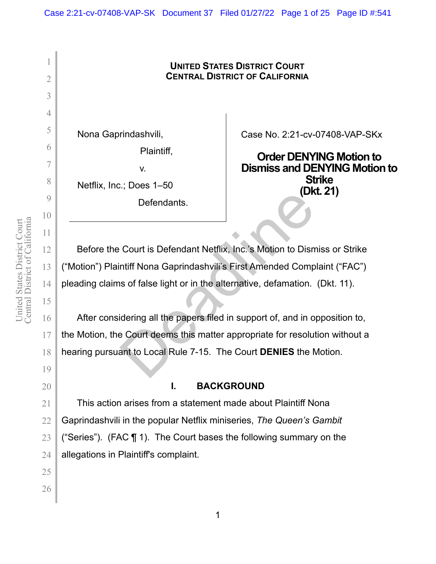# **UNITED STATES DISTRICT COURT CENTRAL DISTRICT OF CALIFORNIA** Nona Gaprindashvili, Plaintiff, v. Netflix, Inc.; Does 1–50 Defendants. Case No. 2:21-cv-07408-VAP-SKx **Order DENYING Motion to Dismiss and DENYING Motion to Strike (Dkt. 21)**  Before the Court is Defendant Netflix, Inc.'s Motion to Dismiss or Strike ("Motion") Plaintiff Nona Gaprindashvili's First Amended Complaint ("FAC") pleading claims of false light or in the alternative, defamation. (Dkt. 11). After considering all the papers filed in support of, and in opposition to, the Motion, the Court deems this matter appropriate for resolution without a hearing pursuant to Local Rule 7-15. The Court **DENIES** the Motion. **I. BACKGROUND** This action arises from a statement made about Plaintiff Nona Gaprindashvili in the popular Netflix miniseries, *The Queen's Gambit* ("Series"). (FAC ¶ 1). The Court bases the following summary on the allegations in Plaintiff's complaint. Defendants.<br>
Court is Defendant Netflix, Inc.'s Motion to Dism<br>
ntiff Nona Gaprindashvili's First Amended Comp<br>
as of false light or in the alternative, defamation.<br>
Internation dering all the papers filed in support of, a

1

2

3

4

5

6

7

8

9

10

11

12

13

14

15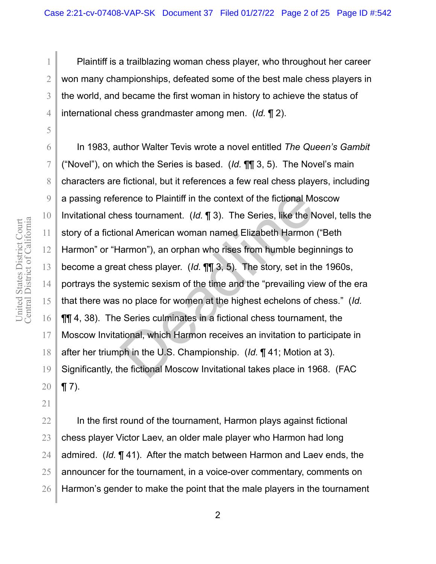Plaintiff is a trailblazing woman chess player, who throughout her career won many championships, defeated some of the best male chess players in the world, and became the first woman in history to achieve the status of international chess grandmaster among men. (*Id.* ¶ 2).

In 1983, author Walter Tevis wrote a novel entitled *The Queen's Gambit* ("Novel"), on which the Series is based. (*Id.* ¶¶ 3, 5). The Novel's main characters are fictional, but it references a few real chess players, including a passing reference to Plaintiff in the context of the fictional Moscow Invitational chess tournament. (*Id.* ¶ 3). The Series, like the Novel, tells the story of a fictional American woman named Elizabeth Harmon ("Beth Harmon" or "Harmon"), an orphan who rises from humble beginnings to become a great chess player. (*Id.* ¶¶ 3, 5). The story, set in the 1960s, portrays the systemic sexism of the time and the "prevailing view of the era that there was no place for women at the highest echelons of chess." (*Id.* ¶¶ 4, 38). The Series culminates in a fictional chess tournament, the Moscow Invitational, which Harmon receives an invitation to participate in after her triumph in the U.S. Championship. (*Id.* ¶ 41; Motion at 3). Significantly, the fictional Moscow Invitational takes place in 1968. (FAC  $\P$  7). rence to Plaintiff in the context of the fictional Mondess tournament. (*Id.* 1 3). The Series, like the N<br>mal American woman named Elizabeth Harmon<br>larmon"), an orphan who rises from humble begi<br>at chess player. (*Id.* 1

22 23 24 25 26 In the first round of the tournament, Harmon plays against fictional chess player Victor Laev, an older male player who Harmon had long admired. (*Id.* ¶ 41). After the match between Harmon and Laev ends, the announcer for the tournament, in a voice-over commentary, comments on Harmon's gender to make the point that the male players in the tournament

1

2

3

4

5

6

7

8

9

10

11

12

13

14

15

16

17

18

19

20

21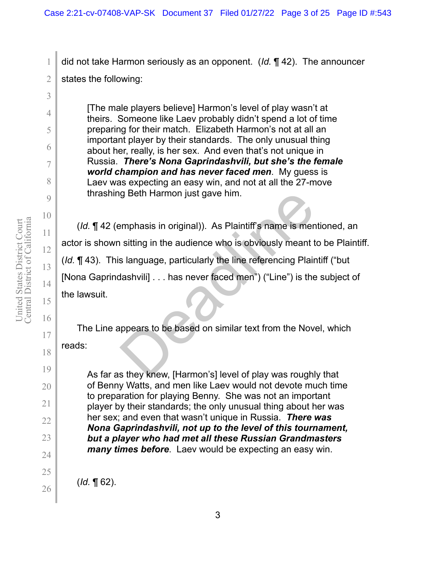did not take Harmon seriously as an opponent. (*Id.* ¶ 42). The announcer states the following:

[The male players believe] Harmon's level of play wasn't at theirs. Someone like Laev probably didn't spend a lot of time preparing for their match. Elizabeth Harmon's not at all an important player by their standards. The only unusual thing about her, really, is her sex. And even that's not unique in Russia. *There's Nona Gaprindashvili, but she's the female world champion and has never faced men*. My guess is Laev was expecting an easy win, and not at all the 27-move thrashing Beth Harmon just gave him.

(*Id.* ¶ 42 (emphasis in original)). As Plaintiff's name is mentioned, an actor is shown sitting in the audience who is obviously meant to be Plaintiff. (*Id.* ¶ 43). This language, particularly the line referencing Plaintiff ("but [Nona Gaprindashvili] . . . has never faced men") ("Line") is the subject of the lawsuit. g Beth Harmon just gave him.<br>
emphasis in original)). As Plaintiff's name is men<br>
is titing in the audience who is obviously meant t<br>
s language, particularly the line referencing Plain<br>
dashvili] . . . has never faced men

The Line appears to be based on similar text from the Novel, which

reads:

As far as they knew, [Harmon's] level of play was roughly that of Benny Watts, and men like Laev would not devote much time to preparation for playing Benny. She was not an important player by their standards; the only unusual thing about her was her sex; and even that wasn't unique in Russia. *There was Nona Gaprindashvili, not up to the level of this tournament, but a player who had met all these Russian Grandmasters many times before*. Laev would be expecting an easy win.

(*Id.* ¶ 62).

1

2

3

4

5

6

7

8

9

10

11

12

13

14

15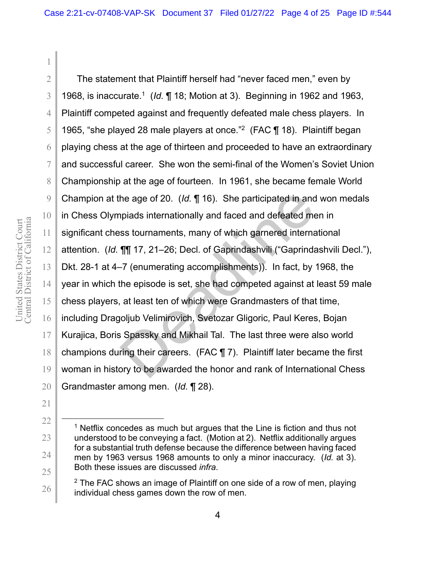10 16 18 19 20 The statement that Plaintiff herself had "never faced men," even by 1968, is inaccurate.1 (*Id.* ¶ 18; Motion at 3). Beginning in 1962 and 1963, Plaintiff competed against and frequently defeated male chess players. In 1965, "she played 28 male players at once."2 (FAC ¶ 18). Plaintiff began playing chess at the age of thirteen and proceeded to have an extraordinary and successful career. She won the semi-final of the Women's Soviet Union Championship at the age of fourteen. In 1961, she became female World Champion at the age of 20. (*Id.* ¶ 16). She participated in and won medals in Chess Olympiads internationally and faced and defeated men in significant chess tournaments, many of which garnered international attention. (*Id.* ¶¶ 17, 21–26; Decl. of Gaprindashvili ("Gaprindashvili Decl."), Dkt. 28-1 at 4–7 (enumerating accomplishments)). In fact, by 1968, the year in which the episode is set, she had competed against at least 59 male chess players, at least ten of which were Grandmasters of that time, including Dragoljub Velimirovich, Svetozar Gligoric, Paul Keres, Bojan Kurajica, Boris Spassky and Mikhail Tal. The last three were also world champions during their careers. (FAC ¶ 7). Plaintiff later became the first woman in history to be awarded the honor and rank of International Chess Grandmaster among men. (*Id.* ¶ 28). he age of 20. (*ld.*  $\P$  16). She participated in and ppiads internationally and faced and defeated mess tournaments, many of which garnered interna  $\P$ [ $\$  17, 21–26; Decl. of Gaprindashvili ("Gaprinda-7 (enumerating acc

1

2

3

4

5

6

7

8

9

11

12

13

14

15

17

21

22

23

24

25

26

 $1$  Netflix concedes as much but argues that the Line is fiction and thus not understood to be conveying a fact. (Motion at 2). Netflix additionally argues for a substantial truth defense because the difference between having faced men by 1963 versus 1968 amounts to only a minor inaccuracy. (*Id.* at 3). Both these issues are discussed *infra*.

 $2$  The FAC shows an image of Plaintiff on one side of a row of men, playing individual chess games down the row of men.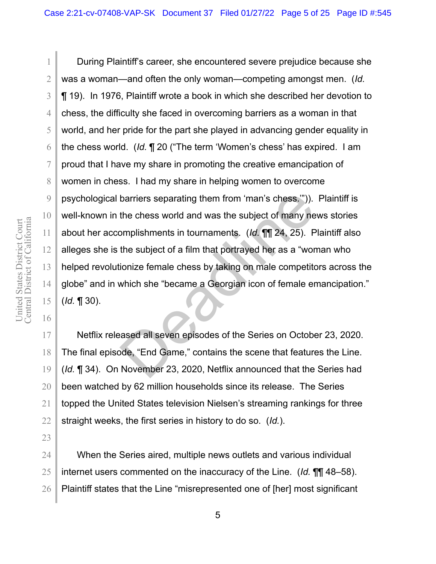During Plaintiff's career, she encountered severe prejudice because she was a woman—and often the only woman—competing amongst men. (*Id.* ¶ 19). In 1976, Plaintiff wrote a book in which she described her devotion to chess, the difficulty she faced in overcoming barriers as a woman in that world, and her pride for the part she played in advancing gender equality in the chess world. (*Id.* ¶ 20 ("The term 'Women's chess' has expired. I am proud that I have my share in promoting the creative emancipation of women in chess. I had my share in helping women to overcome psychological barriers separating them from 'man's chess.'")). Plaintiff is well-known in the chess world and was the subject of many news stories about her accomplishments in tournaments. (*Id.* ¶¶ 24, 25). Plaintiff also alleges she is the subject of a film that portrayed her as a "woman who helped revolutionize female chess by taking on male competitors across the globe" and in which she "became a Georgian icon of female emancipation." (*Id.* ¶ 30). barriers separating them from 'man's chess.")).<br>the chess world and was the subject of many ne<br>omplishments in tournaments. (Id. [[[] 24, 25). P<br>the subject of a film that portrayed her as a "wor<br>ionize female chess by tak

Netflix released all seven episodes of the Series on October 23, 2020. The final episode, "End Game," contains the scene that features the Line. (*Id.* ¶ 34). On November 23, 2020, Netflix announced that the Series had been watched by 62 million households since its release. The Series topped the United States television Nielsen's streaming rankings for three straight weeks, the first series in history to do so. (*Id.*).

When the Series aired, multiple news outlets and various individual internet users commented on the inaccuracy of the Line. (*Id.* ¶¶ 48–58). Plaintiff states that the Line "misrepresented one of [her] most significant

1

2

3

4

5

6

7

8

9

10

11

12

13

14

15

16

17

18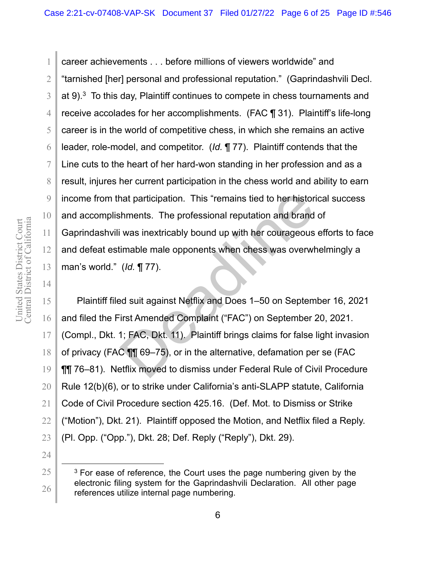1

2

3

4

5

6

7

8

9

10

11

12

13

14

career achievements . . . before millions of viewers worldwide" and "tarnished [her] personal and professional reputation." (Gaprindashvili Decl. at  $9$ ).<sup>3</sup> To this day, Plaintiff continues to compete in chess tournaments and receive accolades for her accomplishments. (FAC ¶ 31). Plaintiff's life-long career is in the world of competitive chess, in which she remains an active leader, role-model, and competitor. (*Id.* ¶ 77). Plaintiff contends that the Line cuts to the heart of her hard-won standing in her profession and as a result, injures her current participation in the chess world and ability to earn income from that participation. This "remains tied to her historical success and accomplishments. The professional reputation and brand of Gaprindashvili was inextricably bound up with her courageous efforts to face and defeat estimable male opponents when chess was overwhelmingly a man's world." (*Id.* ¶ 77). nat participation. This "remains tied to her historic himents. The professional reputation and brand<br>was inextricably bound up with her courageous<br>imable male opponents when chess was overwhered (*Id.* ¶ 77).<br>And suit agai

15 16 17 18 19 20 21 22 23 Plaintiff filed suit against Netflix and Does 1–50 on September 16, 2021 and filed the First Amended Complaint ("FAC") on September 20, 2021. (Compl., Dkt. 1; FAC, Dkt. 11). Plaintiff brings claims for false light invasion of privacy (FAC ¶¶ 69–75), or in the alternative, defamation per se (FAC ¶¶ 76–81). Netflix moved to dismiss under Federal Rule of Civil Procedure Rule 12(b)(6), or to strike under California's anti-SLAPP statute, California Code of Civil Procedure section 425.16. (Def. Mot. to Dismiss or Strike ("Motion"), Dkt. 21). Plaintiff opposed the Motion, and Netflix filed a Reply. (Pl. Opp. ("Opp."), Dkt. 28; Def. Reply ("Reply"), Dkt. 29).

- 24
- 25

 $3$  For ease of reference, the Court uses the page numbering given by the electronic filing system for the Gaprindashvili Declaration. All other page references utilize internal page numbering.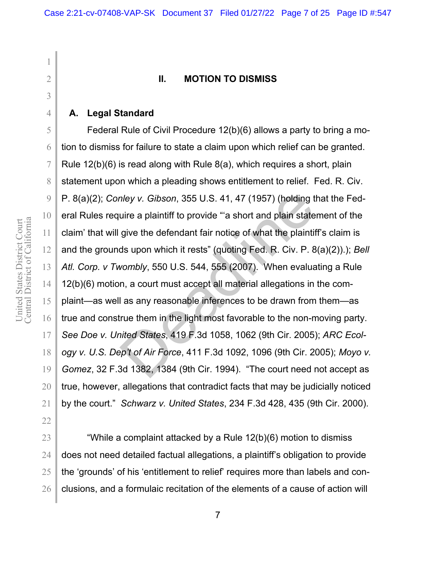#### **II. MOTION TO DISMISS**

#### **A. Legal Standard**

Federal Rule of Civil Procedure 12(b)(6) allows a party to bring a motion to dismiss for failure to state a claim upon which relief can be granted. Rule 12(b)(6) is read along with Rule 8(a), which requires a short, plain statement upon which a pleading shows entitlement to relief. Fed. R. Civ. P. 8(a)(2); *Conley v. Gibson*, 355 U.S. 41, 47 (1957) (holding that the Federal Rules require a plaintiff to provide "'a short and plain statement of the claim' that will give the defendant fair notice of what the plaintiff's claim is and the grounds upon which it rests" (quoting Fed. R. Civ. P. 8(a)(2)).); *Bell Atl. Corp. v Twombly*, 550 U.S. 544, 555 (2007). When evaluating a Rule 12(b)(6) motion, a court must accept all material allegations in the complaint—as well as any reasonable inferences to be drawn from them—as true and construe them in the light most favorable to the non-moving party. *See Doe v. United States*, 419 F.3d 1058, 1062 (9th Cir. 2005); *ARC Ecology v. U.S. Dep't of Air Force*, 411 F.3d 1092, 1096 (9th Cir. 2005); *Moyo v. Gomez*, 32 F.3d 1382, 1384 (9th Cir. 1994). "The court need not accept as true, however, allegations that contradict facts that may be judicially noticed by the court." *Schwarz v. United States*, 234 F.3d 428, 435 (9th Cir. 2000). nley v. *Gibson*, 355 U.S. 41, 47 (1957) (holding tuire a plaintiff to provide "a short and plain state<br>give the defendant fair notice of what the plaintif<br>ds upon which it rests" (quoting Fed. R. Civ. P. 8<br>wombly, 550 U.

26 "While a complaint attacked by a Rule 12(b)(6) motion to dismiss does not need detailed factual allegations, a plaintiff's obligation to provide the 'grounds' of his 'entitlement to relief' requires more than labels and conclusions, and a formulaic recitation of the elements of a cause of action will

1

2

3

4

5

6

7

8

9

10

11

12

13

14

15

16

17

18

19

20

21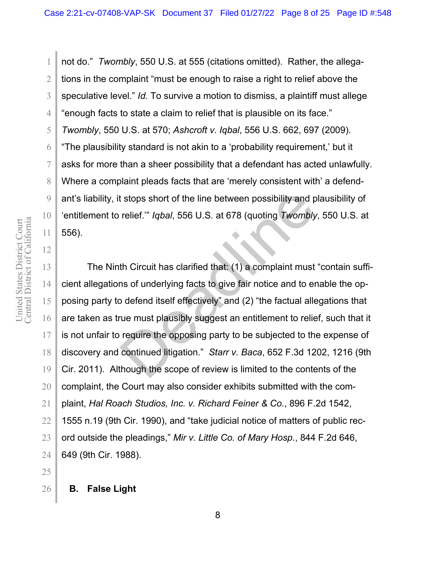2 3 4 5 6 7 8 9 10 not do." *Twombly*, 550 U.S. at 555 (citations omitted). Rather, the allegations in the complaint "must be enough to raise a right to relief above the speculative level." *Id.* To survive a motion to dismiss, a plaintiff must allege "enough facts to state a claim to relief that is plausible on its face." *Twombly*, 550 U.S. at 570; *Ashcroft v. Iqbal*, 556 U.S. 662, 697 (2009). "The plausibility standard is not akin to a 'probability requirement,' but it asks for more than a sheer possibility that a defendant has acted unlawfully. Where a complaint pleads facts that are 'merely consistent with' a defendant's liability, it stops short of the line between possibility and plausibility of 'entitlement to relief.'" *Iqbal*, 556 U.S. at 678 (quoting *Twombly*, 550 U.S. at 556).

The Ninth Circuit has clarified that: (1) a complaint must "contain sufficient allegations of underlying facts to give fair notice and to enable the opposing party to defend itself effectively" and (2) "the factual allegations that are taken as true must plausibly suggest an entitlement to relief, such that it is not unfair to require the opposing party to be subjected to the expense of discovery and continued litigation." *Starr v. Baca*, 652 F.3d 1202, 1216 (9th Cir. 2011).Although the scope of review is limited to the contents of the complaint, the Court may also consider exhibits submitted with the complaint, *Hal Roach Studios, Inc. v. Richard Feiner & Co.*, 896 F.2d 1542, 1555 n.19 (9th Cir. 1990), and "take judicial notice of matters of public record outside the pleadings," *Mir v. Little Co. of Mary Hosp.*, 844 F.2d 646, 649 (9th Cir. 1988). It stops short of the line between possibility and p<br>relief."" *Iqbal*, 556 U.S. at 678 (quoting Twombly<br>th Circuit has clarified that: (1) a complaint must<br>ns of underlying facts to give fair notice and to en<br>o defend its

11

12

13

14

15

16

17

18

19

20

21

22

23

24

1

25 26

**B. False Light**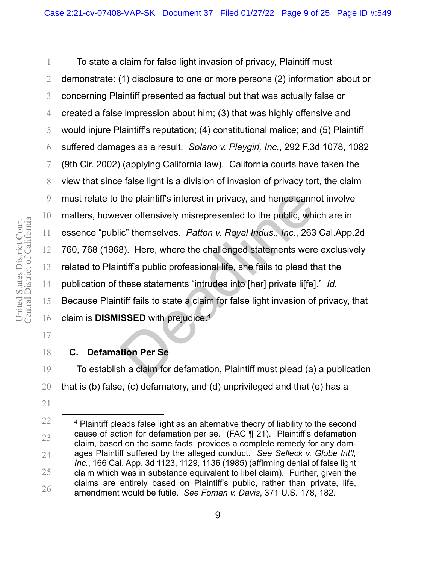To state a claim for false light invasion of privacy, Plaintiff must demonstrate: (1) disclosure to one or more persons (2) information about or concerning Plaintiff presented as factual but that was actually false or created a false impression about him; (3) that was highly offensive and would injure Plaintiff's reputation; (4) constitutional malice; and (5) Plaintiff suffered damages as a result. *Solano v. Playgirl, Inc.*, 292 F.3d 1078, 1082 (9th Cir. 2002) (applying California law). California courts have taken the view that since false light is a division of invasion of privacy tort, the claim must relate to the plaintiff's interest in privacy, and hence cannot involve matters, however offensively misrepresented to the public, which are in essence "public" themselves. *Patton v. Royal Indus., Inc.*, 263 Cal.App.2d 760, 768 (1968). Here, where the challenged statements were exclusively related to Plaintiff's public professional life, she fails to plead that the publication of these statements "intrudes into [her] private li[fe]." *Id.* Because Plaintiff fails to state a claim for false light invasion of privacy, that claim is **DISMISSED** with prejudice.4 the plaintiff's interest in privacy, and hence cann<br>ver offensively misrepresented to the public, whic"<br>themselves. Patton v. Royal Indus., Inc., 263<br>8). Here, where the challenged statements were<br>ntiff's public profession

21

22

23

24

25

26

1

2

3

4

5

6

7

8

9

10

11

12

13

14

15

16

# **C. Defamation Per Se**

To establish a claim for defamation, Plaintiff must plead (a) a publication that is (b) false, (c) defamatory, and (d) unprivileged and that (e) has a

 <sup>4</sup> Plaintiff pleads false light as an alternative theory of liability to the second cause of action for defamation per se. (FAC ¶ 21). Plaintiff's defamation claim, based on the same facts, provides a complete remedy for any damages Plaintiff suffered by the alleged conduct. *See Selleck v. Globe Int'l, Inc.*, 166 Cal. App. 3d 1123, 1129, 1136 (1985) (affirming denial of false light claim which was in substance equivalent to libel claim). Further, given the claims are entirely based on Plaintiff's public, rather than private, life, amendment would be futile. *See Foman v. Davis*, 371 U.S. 178, 182.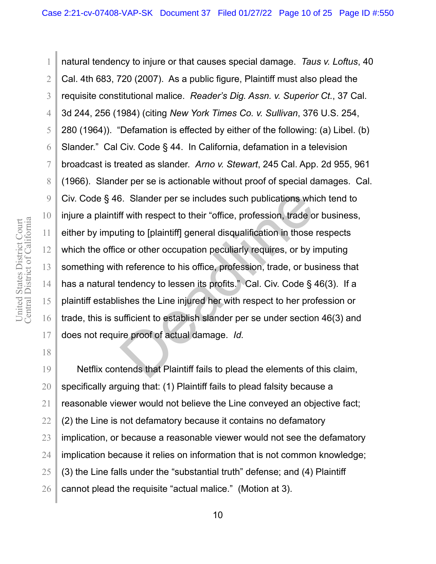2 3 4 5 6 7 8 9 10 12 13 14 15 16 natural tendency to injure or that causes special damage. *Taus v. Loftus*, 40 Cal. 4th 683, 720 (2007). As a public figure, Plaintiff must also plead the requisite constitutional malice. *Reader's Dig. Assn. v. Superior Ct.*, 37 Cal. 3d 244, 256 (1984) (citing *New York Times Co. v. Sullivan*, 376 U.S. 254, 280 (1964)). "Defamation is effected by either of the following: (a) Libel. (b) Slander." Cal Civ. Code § 44. In California, defamation in a television broadcast is treated as slander. *Arno v. Stewart*, 245 Cal. App. 2d 955, 961 (1966). Slander per se is actionable without proof of special damages. Cal. Civ. Code § 46. Slander per se includes such publications which tend to injure a plaintiff with respect to their "office, profession, trade or business, either by imputing to [plaintiff] general disqualification in those respects which the office or other occupation peculiarly requires, or by imputing something with reference to his office, profession, trade, or business that has a natural tendency to lessen its profits." Cal. Civ. Code § 46(3). If a plaintiff establishes the Line injured her with respect to her profession or trade, this is sufficient to establish slander per se under section 46(3) and does not require proof of actual damage. *Id.* S. Slander per se includes such publications whiff with respect to their "office, profession, trade of ting to [plaintiff] general disqualification in those e or other occupation peculiarly requires, or by in reference to

Netflix contends that Plaintiff fails to plead the elements of this claim, specifically arguing that: (1) Plaintiff fails to plead falsity because a reasonable viewer would not believe the Line conveyed an objective fact; (2) the Line is not defamatory because it contains no defamatory implication, or because a reasonable viewer would not see the defamatory implication because it relies on information that is not common knowledge; (3) the Line falls under the "substantial truth" defense; and (4) Plaintiff cannot plead the requisite "actual malice." (Motion at 3).

11

1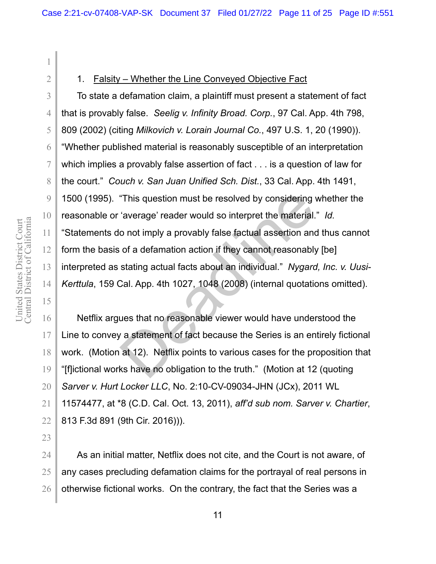1

2

3

4

5

6

7

8

9

10

11

12

13

14

15

17

18

19

#### 1. Falsity – Whether the Line Conveyed Objective Fact

To state a defamation claim, a plaintiff must present a statement of fact that is provably false. *Seelig v. Infinity Broad. Corp.*, 97 Cal. App. 4th 798, 809 (2002) (citing *Milkovich v. Lorain Journal Co.*, 497 U.S. 1, 20 (1990)). "Whether published material is reasonably susceptible of an interpretation which implies a provably false assertion of fact . . . is a question of law for the court." *Couch v. San Juan Unified Sch. Dist.*, 33 Cal. App. 4th 1491, 1500 (1995). "This question must be resolved by considering whether the reasonable or 'average' reader would so interpret the material." *Id.* "Statements do not imply a provably false factual assertion and thus cannot form the basis of a defamation action if they cannot reasonably [be] interpreted as stating actual facts about an individual." *Nygard, Inc. v. Uusi-Kerttula*, 159 Cal. App. 4th 1027, 1048 (2008) (internal quotations omitted). "This question must be resolved by considering "<br>
"average" reader would so interpret the material.<br>
o not imply a provably false factual assertion and<br>
of a defamation action if they cannot reasonably<br>
stating actual fact

16 Netflix argues that no reasonable viewer would have understood the Line to convey a statement of fact because the Series is an entirely fictional work. (Motion at 12). Netflix points to various cases for the proposition that "[f]ictional works have no obligation to the truth." (Motion at 12 (quoting *Sarver v. Hurt Locker LLC*, No. 2:10-CV-09034-JHN (JCx), 2011 WL 11574477, at \*8 (C.D. Cal. Oct. 13, 2011), *aff'd sub nom. Sarver v. Chartier*, 813 F.3d 891 (9th Cir. 2016))).

As an initial matter, Netflix does not cite, and the Court is not aware, of any cases precluding defamation claims for the portrayal of real persons in otherwise fictional works. On the contrary, the fact that the Series was a

25

26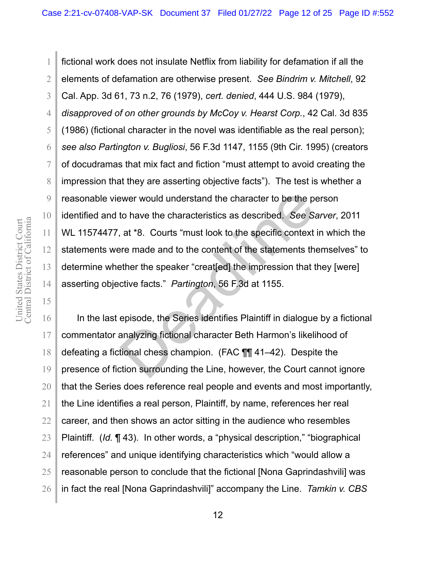4 5 6 7 9 10 fictional work does not insulate Netflix from liability for defamation if all the elements of defamation are otherwise present. *See Bindrim v. Mitchell*, 92 Cal. App. 3d 61, 73 n.2, 76 (1979), *cert. denied*, 444 U.S. 984 (1979), *disapproved of on other grounds by McCoy v. Hearst Corp.*, 42 Cal. 3d 835 (1986) (fictional character in the novel was identifiable as the real person); *see also Partington v. Bugliosi*, 56 F.3d 1147, 1155 (9th Cir. 1995) (creators of docudramas that mix fact and fiction "must attempt to avoid creating the impression that they are asserting objective facts"). The test is whether a reasonable viewer would understand the character to be the person identified and to have the characteristics as described. *See Sarver*, 2011 WL 11574477, at \*8. Courts "must look to the specific context in which the statements were made and to the content of the statements themselves" to determine whether the speaker "creat[ed] the impression that they [were] asserting objective facts." *Partington*, 56 F.3d at 1155. ewer would understand the character to be the proto have the characteristics as described. See S<sub>i</sub> at \*8. Courts "must look to the specific context erre made and to the content of the statements the statement of the state

16 17 18 19 In the last episode, the Series identifies Plaintiff in dialogue by a fictional commentator analyzing fictional character Beth Harmon's likelihood of defeating a fictional chess champion. (FAC ¶¶ 41–42). Despite the presence of fiction surrounding the Line, however, the Court cannot ignore that the Series does reference real people and events and most importantly, the Line identifies a real person, Plaintiff, by name, references her real career, and then shows an actor sitting in the audience who resembles Plaintiff. (*Id.* ¶ 43). In other words, a "physical description," "biographical references" and unique identifying characteristics which "would allow a reasonable person to conclude that the fictional [Nona Gaprindashvili] was in fact the real [Nona Gaprindashvili]" accompany the Line. *Tamkin v. CBS* 

1

2

3

8

11

12

13

14

15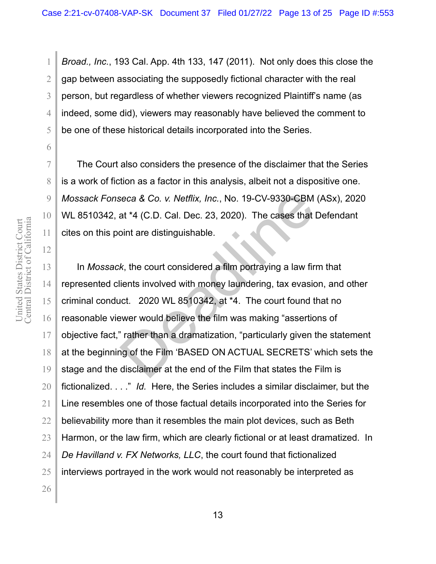*Broad., Inc.*, 193 Cal. App. 4th 133, 147 (2011). Not only does this close the gap between associating the supposedly fictional character with the real person, but regardless of whether viewers recognized Plaintiff's name (as indeed, some did), viewers may reasonably have believed the comment to be one of these historical details incorporated into the Series.

The Court also considers the presence of the disclaimer that the Series is a work of fiction as a factor in this analysis, albeit not a dispositive one. *Mossack Fonseca & Co. v. Netflix, Inc.*, No. 19-CV-9330-CBM (ASx), 2020 WL 8510342, at \*4 (C.D. Cal. Dec. 23, 2020). The cases that Defendant cites on this point are distinguishable.

In *Mossack*, the court considered a film portraying a law firm that represented clients involved with money laundering, tax evasion, and other criminal conduct. 2020 WL 8510342, at \*4. The court found that no reasonable viewer would believe the film was making "assertions of objective fact," rather than a dramatization, "particularly given the statement at the beginning of the Film 'BASED ON ACTUAL SECRETS' which sets the stage and the disclaimer at the end of the Film that states the Film is fictionalized. . . ." *Id.* Here, the Series includes a similar disclaimer, but the Line resembles one of those factual details incorporated into the Series for believability more than it resembles the main plot devices, such as Beth Harmon, or the law firm, which are clearly fictional or at least dramatized. In *De Havilland v. FX Networks, LLC*, the court found that fictionalized interviews portrayed in the work would not reasonably be interpreted as seca & Co. v. Netflix, Inc., No. 19-CV-9330-CBM<br>at \*4 (C.D. Cal. Dec. 23, 2020). The cases that loint are distinguishable.<br>k, the court considered a film portraying a law fir<br>ients involved with money laundering, tax evasi

1

2

3

4

5

6

7

8

9

10

11

12

13

14

15

16

17

18

19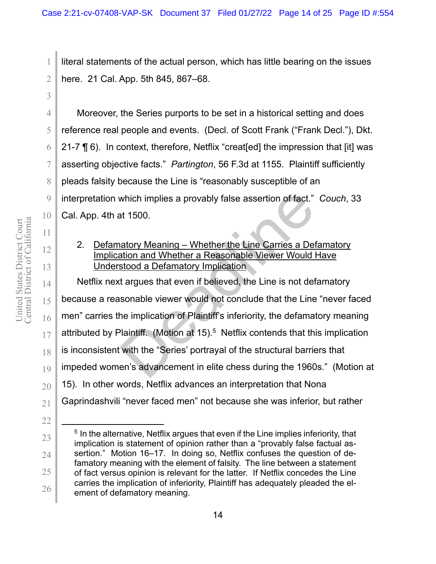literal statements of the actual person, which has little bearing on the issues here. 21 Cal. App. 5th 845, 867–68.

Moreover, the Series purports to be set in a historical setting and does reference real people and events. (Decl. of Scott Frank ("Frank Decl."), Dkt. 21-7 ¶ 6). In context, therefore, Netflix "creat[ed] the impression that [it] was asserting objective facts." *Partington*, 56 F.3d at 1155. Plaintiff sufficiently pleads falsity because the Line is "reasonably susceptible of an interpretation which implies a provably false assertion of fact." *Couch*, 33 Cal. App. 4th at 1500.

# 2. Defamatory Meaning – Whether the Line Carries a Defamatory Implication and Whether a Reasonable Viewer Would Have Understood a Defamatory Implication

Netflix next argues that even if believed, the Line is not defamatory because a reasonable viewer would not conclude that the Line "never faced men" carries the implication of Plaintiff's inferiority, the defamatory meaning attributed by Plaintiff. (Motion at 15).<sup>5</sup> Netflix contends that this implication is inconsistent with the "Series' portrayal of the structural barriers that impeded women's advancement in elite chess during the 1960s." (Motion at 15). In other words, Netflix advances an interpretation that Nona Gaprindashvili "never faced men" not because she was inferior, but rather which implies a provably false assertion of fact."<br>at 1500.<br>atory Meaning – Whether the Line Carries a Det<br>ation and Whether a Reasonable Viewer Would I<br>stood a Defamatory Implication<br>t argues that even if believed, the Li

1

2

3

4

5

6

7

8

9

10

11

12

13

14

15

16

17

18

19

20

21

<sup>23</sup>  24 25 26 <sup>5</sup> In the alternative, Netflix argues that even if the Line implies inferiority, that implication is statement of opinion rather than a "provably false factual assertion." Motion 16–17. In doing so, Netflix confuses the question of defamatory meaning with the element of falsity. The line between a statement of fact versus opinion is relevant for the latter. If Netflix concedes the Line carries the implication of inferiority, Plaintiff has adequately pleaded the element of defamatory meaning.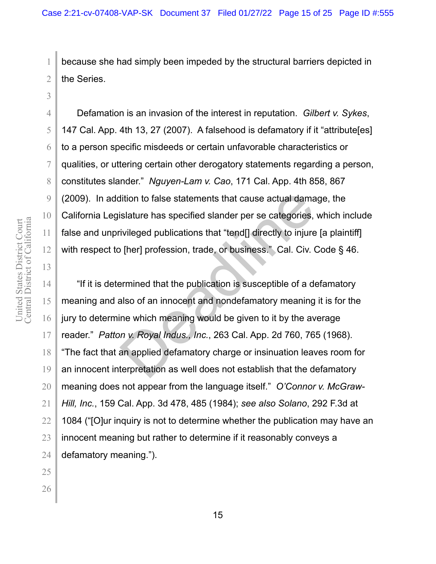because she had simply been impeded by the structural barriers depicted in the Series.

Defamation is an invasion of the interest in reputation. *Gilbert v. Sykes*, 147 Cal. App. 4th 13, 27 (2007). A falsehood is defamatory if it "attribute[es] to a person specific misdeeds or certain unfavorable characteristics or qualities, or uttering certain other derogatory statements regarding a person, constitutes slander." *Nguyen-Lam v. Cao*, 171 Cal. App. 4th 858, 867 (2009). In addition to false statements that cause actual damage, the California Legislature has specified slander per se categories, which include false and unprivileged publications that "tend[] directly to injure [a plaintiff] with respect to [her] profession, trade, or business." Cal. Civ. Code § 46.

"If it is determined that the publication is susceptible of a defamatory meaning and also of an innocent and nondefamatory meaning it is for the jury to determine which meaning would be given to it by the average reader." *Patton v. Royal Indus., Inc.*, 263 Cal. App. 2d 760, 765 (1968). "The fact that an applied defamatory charge or insinuation leaves room for an innocent interpretation as well does not establish that the defamatory meaning does not appear from the language itself." *O'Connor v. McGraw-Hill, Inc.*, 159 Cal. App. 3d 478, 485 (1984); *see also Solano*, 292 F.3d at 1084 ("[O]ur inquiry is not to determine whether the publication may have an innocent meaning but rather to determine if it reasonably conveys a defamatory meaning."). dition to false statements that cause actual dama<br>
islature has specified slander per se categories,<br>
ivileged publications that "tend[] directly to injure<br>
o [her] profession, trade, or business." Cal. Civ.<br>
or [her] prof

Central District of California United States District Court<br>Central District of California United States District Court

1

2

3

4

5

6

7

8

9

10

11

12

13

14

15

16

17

18

19

20

21

22

23

24 25 26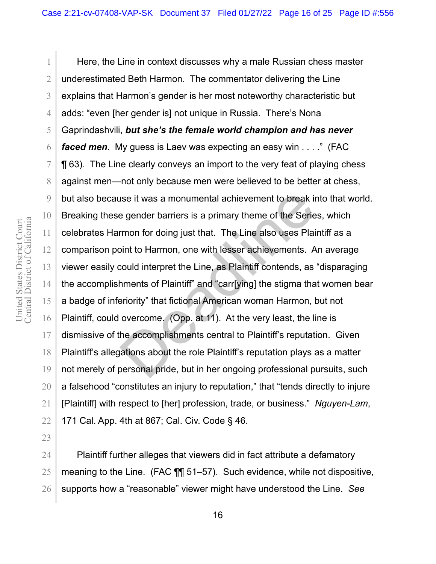1 2 3 4 5 6 7 8 9 10 11 12 13 14 15 16 17 18 19 20 21 22 Here, the Line in context discusses why a male Russian chess master underestimated Beth Harmon. The commentator delivering the Line explains that Harmon's gender is her most noteworthy characteristic but adds: "even [her gender is] not unique in Russia. There's Nona Gaprindashvili, *but she's the female world champion and has never faced men*. My guess is Laev was expecting an easy win . . . ." (FAC ¶ 63). The Line clearly conveys an import to the very feat of playing chess against men—not only because men were believed to be better at chess, but also because it was a monumental achievement to break into that world. Breaking these gender barriers is a primary theme of the Series, which celebrates Harmon for doing just that. The Line also uses Plaintiff as a comparison point to Harmon, one with lesser achievements. An average viewer easily could interpret the Line, as Plaintiff contends, as "disparaging the accomplishments of Plaintiff" and "carr[ying] the stigma that women bear a badge of inferiority" that fictional American woman Harmon, but not Plaintiff, could overcome. (Opp. at 11). At the very least, the line is dismissive of the accomplishments central to Plaintiff's reputation. Given Plaintiff's allegations about the role Plaintiff's reputation plays as a matter not merely of personal pride, but in her ongoing professional pursuits, such a falsehood "constitutes an injury to reputation," that "tends directly to injure [Plaintiff] with respect to [her] profession, trade, or business." *Nguyen-Lam*, 171 Cal. App. 4th at 867; Cal. Civ. Code § 46. ise it was a monumental achievement to break in<br>
e gender barriers is a primary theme of the Serie<br>
rmon for doing just that. The Line also uses Plai<br>
bint to Harmon, one with lesser achievements. A<br>
could interpret the Li

Plaintiff further alleges that viewers did in fact attribute a defamatory meaning to the Line. (FAC ¶¶ 51–57). Such evidence, while not dispositive, supports how a "reasonable" viewer might have understood the Line. *See*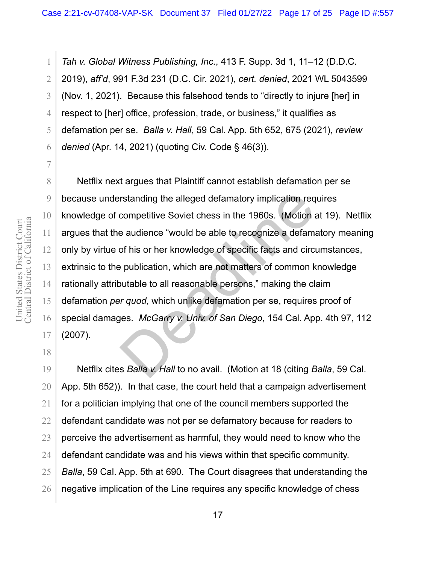*Tah v. Global Witness Publishing, Inc.*, 413 F. Supp. 3d 1, 11–12 (D.D.C. 2019), *aff'd*, 991 F.3d 231 (D.C. Cir. 2021), *cert. denied*, 2021 WL 5043599 (Nov. 1, 2021). Because this falsehood tends to "directly to injure [her] in respect to [her] office, profession, trade, or business," it qualifies as defamation per se. *Balla v. Hall*, 59 Cal. App. 5th 652, 675 (2021), *review denied* (Apr. 14, 2021) (quoting Civ. Code § 46(3)).

Netflix next argues that Plaintiff cannot establish defamation per se because understanding the alleged defamatory implication requires knowledge of competitive Soviet chess in the 1960s. (Motion at 19). Netflix argues that the audience "would be able to recognize a defamatory meaning only by virtue of his or her knowledge of specific facts and circumstances, extrinsic to the publication, which are not matters of common knowledge rationally attributable to all reasonable persons," making the claim defamation *per quod*, which unlike defamation per se, requires proof of special damages. *McGarry v. Univ. of San Diego*, 154 Cal. App. 4th 97, 112 (2007). rstanding the alleged defamatory implication req<br>competitive Soviet chess in the 1960s. (Motion a<br>e audience "would be able to recognize a defamator<br>of his or her knowledge of specific facts and circ<br>publication, which are

Netflix cites *Balla v. Hall* to no avail. (Motion at 18 (citing *Balla*, 59 Cal. App. 5th 652)). In that case, the court held that a campaign advertisement for a politician implying that one of the council members supported the defendant candidate was not per se defamatory because for readers to perceive the advertisement as harmful, they would need to know who the defendant candidate was and his views within that specific community. *Balla*, 59 Cal. App. 5th at 690. The Court disagrees that understanding the negative implication of the Line requires any specific knowledge of chess

1

2

3

4

5

6

7

8

9

10

11

12

13

14

15

16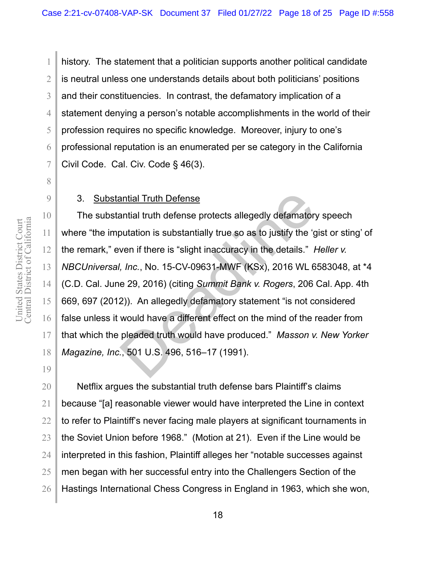2 3 4 5 6 7 history. The statement that a politician supports another political candidate is neutral unless one understands details about both politicians' positions and their constituencies. In contrast, the defamatory implication of a statement denying a person's notable accomplishments in the world of their profession requires no specific knowledge. Moreover, injury to one's professional reputation is an enumerated per se category in the California Civil Code. Cal. Civ. Code § 46(3).

### 3. Substantial Truth Defense

The substantial truth defense protects allegedly defamatory speech where "the imputation is substantially true so as to justify the 'gist or sting' of the remark," even if there is "slight inaccuracy in the details." *Heller v. NBCUniversal, Inc.*, No. 15-CV-09631-MWF (KSx), 2016 WL 6583048, at \*4 (C.D. Cal. June 29, 2016) (citing *Summit Bank v. Rogers*, 206 Cal. App. 4th 669, 697 (2012)). An allegedly defamatory statement "is not considered false unless it would have a different effect on the mind of the reader from that which the pleaded truth would have produced." *Masson v. New Yorker Magazine, Inc.*, 501 U.S. 496, 516–17 (1991). antial Truth Defense<br>antial truth defense protects allegedly defamatory<br>butation is substantially true so as to justify the 'g<br>ven if there is "slight inaccuracy in the details." *F*<br>*Inc.*, No. 15-CV-09631-MWF (KSx), 2016

Netflix argues the substantial truth defense bars Plaintiff's claims because "[a] reasonable viewer would have interpreted the Line in context to refer to Plaintiff's never facing male players at significant tournaments in the Soviet Union before 1968." (Motion at 21). Even if the Line would be interpreted in this fashion, Plaintiff alleges her "notable successes against men began with her successful entry into the Challengers Section of the Hastings International Chess Congress in England in 1963, which she won,

1

8

9

10

11

12

13

14

15

16

17

18

19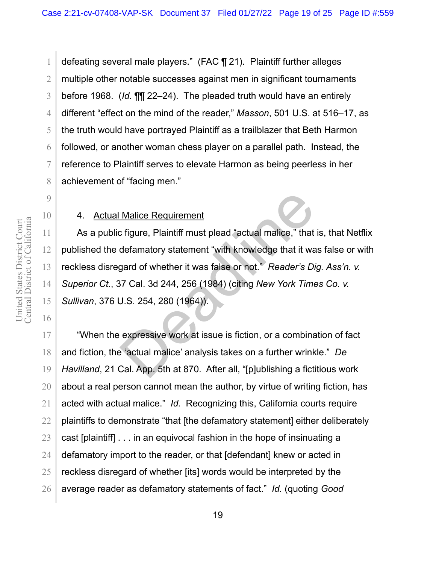2 3 4 5 6 7 8 defeating several male players." (FAC ¶ 21). Plaintiff further alleges multiple other notable successes against men in significant tournaments before 1968. (*Id.* ¶¶ 22–24). The pleaded truth would have an entirely different "effect on the mind of the reader," *Masson*, 501 U.S. at 516–17, as the truth would have portrayed Plaintiff as a trailblazer that Beth Harmon followed, or another woman chess player on a parallel path. Instead, the reference to Plaintiff serves to elevate Harmon as being peerless in her achievement of "facing men."

### 4. Actual Malice Requirement

As a public figure, Plaintiff must plead "actual malice," that is, that Netflix published the defamatory statement "with knowledge that it was false or with reckless disregard of whether it was false or not." *Reader's Dig. Ass'n. v. Superior Ct.*, 37 Cal. 3d 244, 256 (1984) (citing *New York Times Co. v. Sullivan*, 376 U.S. 254, 280 (1964)). Malice Requirement<br>
2 figure, Plaintiff must plead "actual malice," that<br>
defamatory statement "with knowledge that it wa<br>
gard of whether it was false or not." Reader's Di<br>
37 Cal. 3d 244, 256 (1984) (citing New York Time

"When the expressive work at issue is fiction, or a combination of fact and fiction, the 'actual malice' analysis takes on a further wrinkle." *De Havilland*, 21 Cal. App. 5th at 870. After all, "[p]ublishing a fictitious work about a real person cannot mean the author, by virtue of writing fiction, has acted with actual malice." *Id.* Recognizing this, California courts require plaintiffs to demonstrate "that [the defamatory statement] either deliberately cast [plaintiff] . . . in an equivocal fashion in the hope of insinuating a defamatory import to the reader, or that [defendant] knew or acted in reckless disregard of whether [its] words would be interpreted by the average reader as defamatory statements of fact." *Id.* (quoting *Good* 

1

9

10

11

12

13

14

15

16

17

18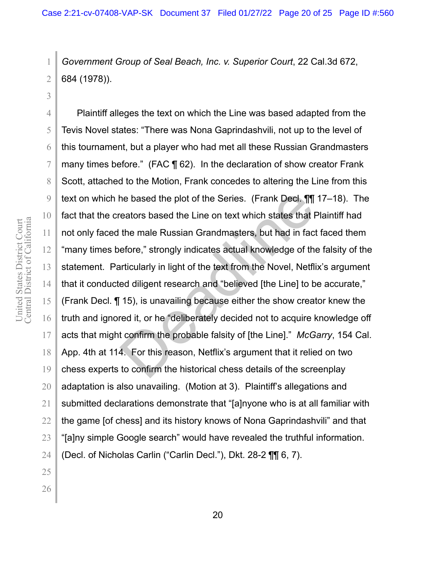*Government Group of Seal Beach, Inc. v. Superior Court*, 22 Cal.3d 672, 684 (1978)).

Plaintiff alleges the text on which the Line was based adapted from the Tevis Novel states: "There was Nona Gaprindashvili, not up to the level of this tournament, but a player who had met all these Russian Grandmasters many times before." (FAC ¶ 62). In the declaration of show creator Frank Scott, attached to the Motion, Frank concedes to altering the Line from this text on which he based the plot of the Series. (Frank Decl. ¶¶ 17–18). The fact that the creators based the Line on text which states that Plaintiff had not only faced the male Russian Grandmasters, but had in fact faced them "many times before," strongly indicates actual knowledge of the falsity of the statement. Particularly in light of the text from the Novel, Netflix's argument that it conducted diligent research and "believed [the Line] to be accurate," (Frank Decl. ¶ 15), is unavailing because either the show creator knew the truth and ignored it, or he "deliberately decided not to acquire knowledge off acts that might confirm the probable falsity of [the Line]." *McGarry*, 154 Cal. App. 4th at 114. For this reason, Netflix's argument that it relied on two chess experts to confirm the historical chess details of the screenplay adaptation is also unavailing. (Motion at 3). Plaintiff's allegations and submitted declarations demonstrate that "[a]nyone who is at all familiar with the game [of chess] and its history knows of Nona Gaprindashvili" and that "[a]ny simple Google search" would have revealed the truthful information. (Decl. of Nicholas Carlin ("Carlin Decl."), Dkt. 28-2 ¶¶ 6, 7). ne based the plot of the Series. (Frank Decl. ¶||<br>
reators based the Line on text which states that F<br>
the male Russian Grandmasters, but had in fact<br>
efore," strongly indicates actual knowledge of the<br>
refore," strongly i

1

2

3

4

5

6

7

8

9

10

11

12

13

14

15

16

17

18

19

20

21

22

23

24

25

26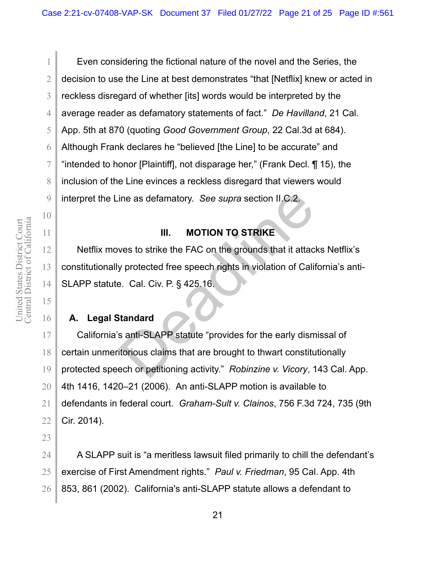1

2

3

4

5

6

7

8

9

10

11

12

13

14

15

16

17

18

19

20

21

22

23

Even considering the fictional nature of the novel and the Series, the decision to use the Line at best demonstrates "that [Netflix] knew or acted in reckless disregard of whether [its] words would be interpreted by the average reader as defamatory statements of fact." *De Havilland*, 21 Cal. App. 5th at 870 (quoting *Good Government Group*, 22 Cal.3d at 684). Although Frank declares he "believed [the Line] to be accurate" and "intended to honor [Plaintiff], not disparage her," (Frank Decl. ¶ 15), the inclusion of the Line evinces a reckless disregard that viewers would interpret the Line as defamatory. *See supra* section II.C.2.

# **III. MOTION TO STRIKE**

Netflix moves to strike the FAC on the grounds that it attacks Netflix's constitutionally protected free speech rights in violation of California's anti-SLAPP statute. Cal. Civ. P. § 425.16.

# **A. Legal Standard**

California's anti-SLAPP statute "provides for the early dismissal of certain unmeritorious claims that are brought to thwart constitutionally protected speech or petitioning activity." *Robinzine v. Vicory*, 143 Cal. App. 4th 1416, 1420–21 (2006). An anti-SLAPP motion is available to defendants in federal court. *Graham-Sult v. Clainos*, 756 F.3d 724, 735 (9th Cir. 2014). ine as defamatory. See supra section II.C.2.<br>
III. MOTION TO STRIKE<br>
ves to strike the FAC on the grounds that it attac<br>
y protected free speech rights in violation of Calif<br>
2. Cal. Civ. P. § 425.16.<br>
tandard<br>
santi-SLAPP

24 25 26 A SLAPP suit is "a meritless lawsuit filed primarily to chill the defendant's exercise of First Amendment rights." *Paul v. Friedman*, 95 Cal. App. 4th 853, 861 (2002). California's anti-SLAPP statute allows a defendant to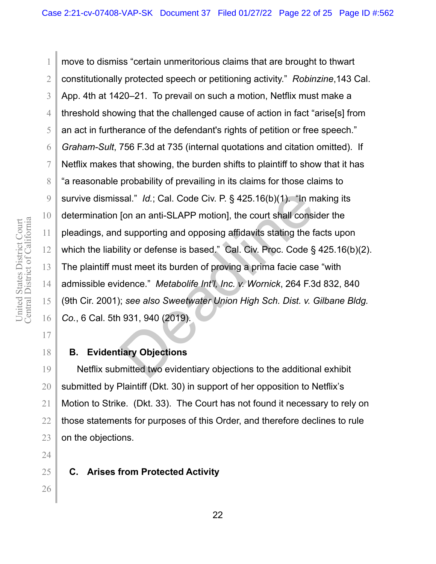Central District of California United States District Court<br>Central District of California United States District Court

1

2

3

4

5

6

7

8

9

10

11

12

13

14

15

16

26

move to dismiss "certain unmeritorious claims that are brought to thwart constitutionally protected speech or petitioning activity." *Robinzine*,143 Cal. App. 4th at 1420–21. To prevail on such a motion, Netflix must make a threshold showing that the challenged cause of action in fact "arise[s] from an act in furtherance of the defendant's rights of petition or free speech." *Graham-Sult*, 756 F.3d at 735 (internal quotations and citation omitted). If Netflix makes that showing, the burden shifts to plaintiff to show that it has "a reasonable probability of prevailing in its claims for those claims to survive dismissal." *Id.*; Cal. Code Civ. P. § 425.16(b)(1). "In making its determination [on an anti-SLAPP motion], the court shall consider the pleadings, and supporting and opposing affidavits stating the facts upon which the liability or defense is based." Cal. Civ. Proc. Code § 425.16(b)(2). The plaintiff must meet its burden of proving a prima facie case "with admissible evidence." *Metabolife Int'l, Inc. v. Wornick*, 264 F.3d 832, 840 (9th Cir. 2001); *see also Sweetwater Union High Sch. Dist. v. Gilbane Bldg. Co.*, 6 Cal. 5th 931, 940 (2019). sal." Id.; Cal. Code Civ. P. § 425.16(b)(1). "In m<br>[on an anti-SLAPP motion], the court shall consite<br>I supporting and opposing affidavits stating the failty or defense is based." Cal. Civ. Proc. Code §<br>ust meet its burden

#### **B. Evidentiary Objections**

Netflix submitted two evidentiary objections to the additional exhibit submitted by Plaintiff (Dkt. 30) in support of her opposition to Netflix's Motion to Strike. (Dkt. 33). The Court has not found it necessary to rely on those statements for purposes of this Order, and therefore declines to rule on the objections.

**C. Arises from Protected Activity**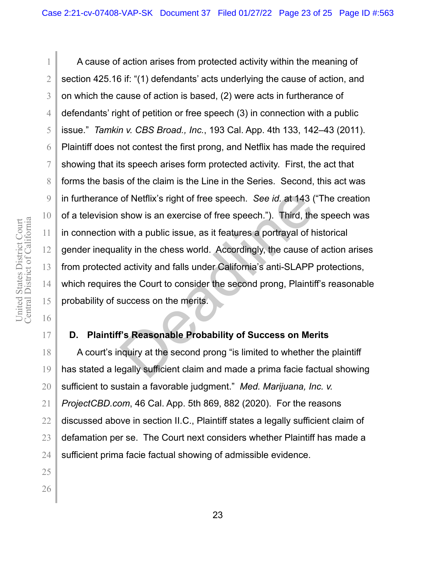A cause of action arises from protected activity within the meaning of section 425.16 if: "(1) defendants' acts underlying the cause of action, and on which the cause of action is based, (2) were acts in furtherance of defendants' right of petition or free speech (3) in connection with a public issue." *Tamkin v. CBS Broad., Inc.*, 193 Cal. App. 4th 133, 142–43 (2011). Plaintiff does not contest the first prong, and Netflix has made the required showing that its speech arises form protected activity. First, the act that forms the basis of the claim is the Line in the Series. Second, this act was in furtherance of Netflix's right of free speech. *See id.* at 143 ("The creation of a television show is an exercise of free speech."). Third, the speech was in connection with a public issue, as it features a portrayal of historical gender inequality in the chess world. Accordingly, the cause of action arises from protected activity and falls under California's anti-SLAPP protections, which requires the Court to consider the second prong, Plaintiff's reasonable probability of success on the merits. of Netflix's right of free speech. See id. at 143 (<br>show is an exercise of free speech."). Third, the<br>with a public issue, as it features a portrayal of h<br>lity in the chess world. Accordingly, the cause of<br>activity and fal

# **D. Plaintiff's Reasonable Probability of Success on Merits**

A court's inquiry at the second prong "is limited to whether the plaintiff has stated a legally sufficient claim and made a prima facie factual showing sufficient to sustain a favorable judgment." *Med. Marijuana, Inc. v. ProjectCBD.com*, 46 Cal. App. 5th 869, 882 (2020). For the reasons discussed above in section II.C., Plaintiff states a legally sufficient claim of defamation per se. The Court next considers whether Plaintiff has made a sufficient prima facie factual showing of admissible evidence.

1

2

3

4

5

6

7

8

9

10

11

12

13

14

15

16

17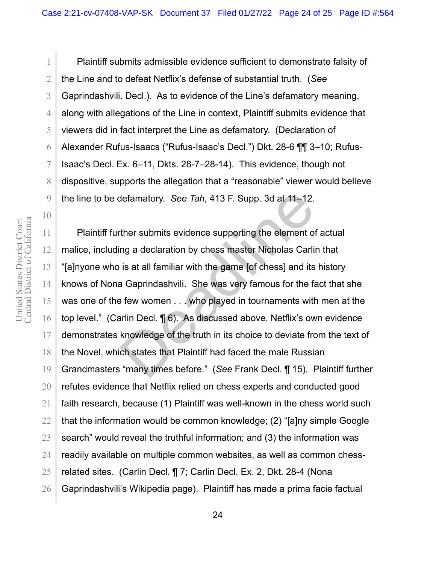Central District of California United States District Court<br>Central District of California United States District Court

1

2

3

4

5

6

7

8

9

10

11

12

13

14

15

16

17

18

19

20

21

22

23

24

25

26

Plaintiff submits admissible evidence sufficient to demonstrate falsity of the Line and to defeat Netflix's defense of substantial truth. (*See* Gaprindashvili. Decl.). As to evidence of the Line's defamatory meaning, along with allegations of the Line in context, Plaintiff submits evidence that viewers did in fact interpret the Line as defamatory. (Declaration of Alexander Rufus-Isaacs ("Rufus-Isaac's Decl.") Dkt. 28-6 ¶¶ 3–10; Rufus-Isaac's Decl. Ex. 6–11, Dkts. 28-7–28-14). This evidence, though not dispositive, supports the allegation that a "reasonable" viewer would believe the line to be defamatory. *See Tah*, 413 F. Supp. 3d at 11–12.

Plaintiff further submits evidence supporting the element of actual malice, including a declaration by chess master Nicholas Carlin that "[a]nyone who is at all familiar with the game [of chess] and its history knows of Nona Gaprindashvili. She was very famous for the fact that she was one of the few women . . . who played in tournaments with men at the top level." (Carlin Decl. ¶ 6). As discussed above, Netflix's own evidence demonstrates knowledge of the truth in its choice to deviate from the text of the Novel, which states that Plaintiff had faced the male Russian Grandmasters "many times before." (*See* Frank Decl. ¶ 15). Plaintiff further refutes evidence that Netflix relied on chess experts and conducted good faith research, because (1) Plaintiff was well-known in the chess world such that the information would be common knowledge; (2) "[a]ny simple Google search" would reveal the truthful information; and (3) the information was readily available on multiple common websites, as well as common chessrelated sites. (Carlin Decl. ¶ 7; Carlin Decl. Ex. 2, Dkt. 28-4 (Nona Gaprindashvili's Wikipedia page). Plaintiff has made a prima facie factual defamatory. See Tah, 413 F. Supp. 3d at 11–12.<br>ther submits evidence supporting the element of<br>ng a declaration by chess master Nicholas Carlin<br>is at all familiar with the game [of chess] and its<br>a Gaprindashvili. She was